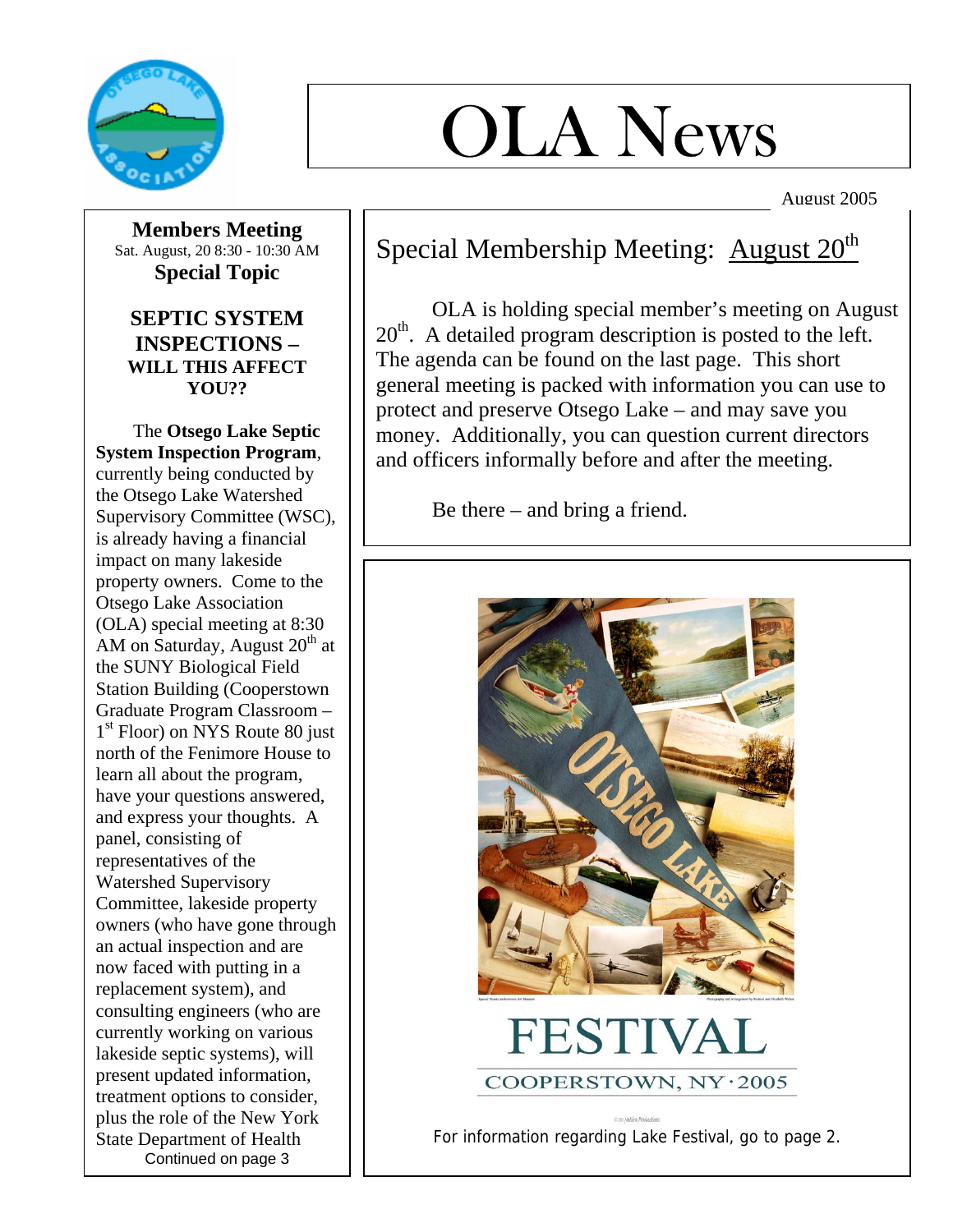

# OLA News

August 2005

**Members Meeting**  Sat. August, 20 8:30 - 10:30 AM **Special Topic** 

## **SEPTIC SYSTEM INSPECTIONS – WILL THIS AFFECT YOU??**

 The **Otsego Lake Septic System Inspection Program**, currently being conducted by the Otsego Lake Watershed Supervisory Committee (WSC), is already having a financial impact on many lakeside property owners. Come to the Otsego Lake Association (OLA) special meeting at 8:30 AM on Saturday, August  $20<sup>th</sup>$  at the SUNY Biological Field Station Building (Cooperstown Graduate Program Classroom – 1<sup>st</sup> Floor) on NYS Route 80 just north of the Fenimore House to learn all about the program, have your questions answered, and express your thoughts. A panel, consisting of representatives of the Watershed Supervisory Committee, lakeside property owners (who have gone through an actual inspection and are now faced with putting in a replacement system), and consulting engineers (who are currently working on various lakeside septic systems), will present updated information, treatment options to consider, plus the role of the New York State Department of Health Continued on page 3

## Special Membership Meeting: August  $20<sup>th</sup>$

 OLA is holding special member's meeting on August  $20<sup>th</sup>$ . A detailed program description is posted to the left. The agenda can be found on the last page. This short general meeting is packed with information you can use to protect and preserve Otsego Lake – and may save you money. Additionally, you can question current directors and officers informally before and after the meeting.

Be there – and bring a friend.



For information regarding Lake Festival, go to page 2.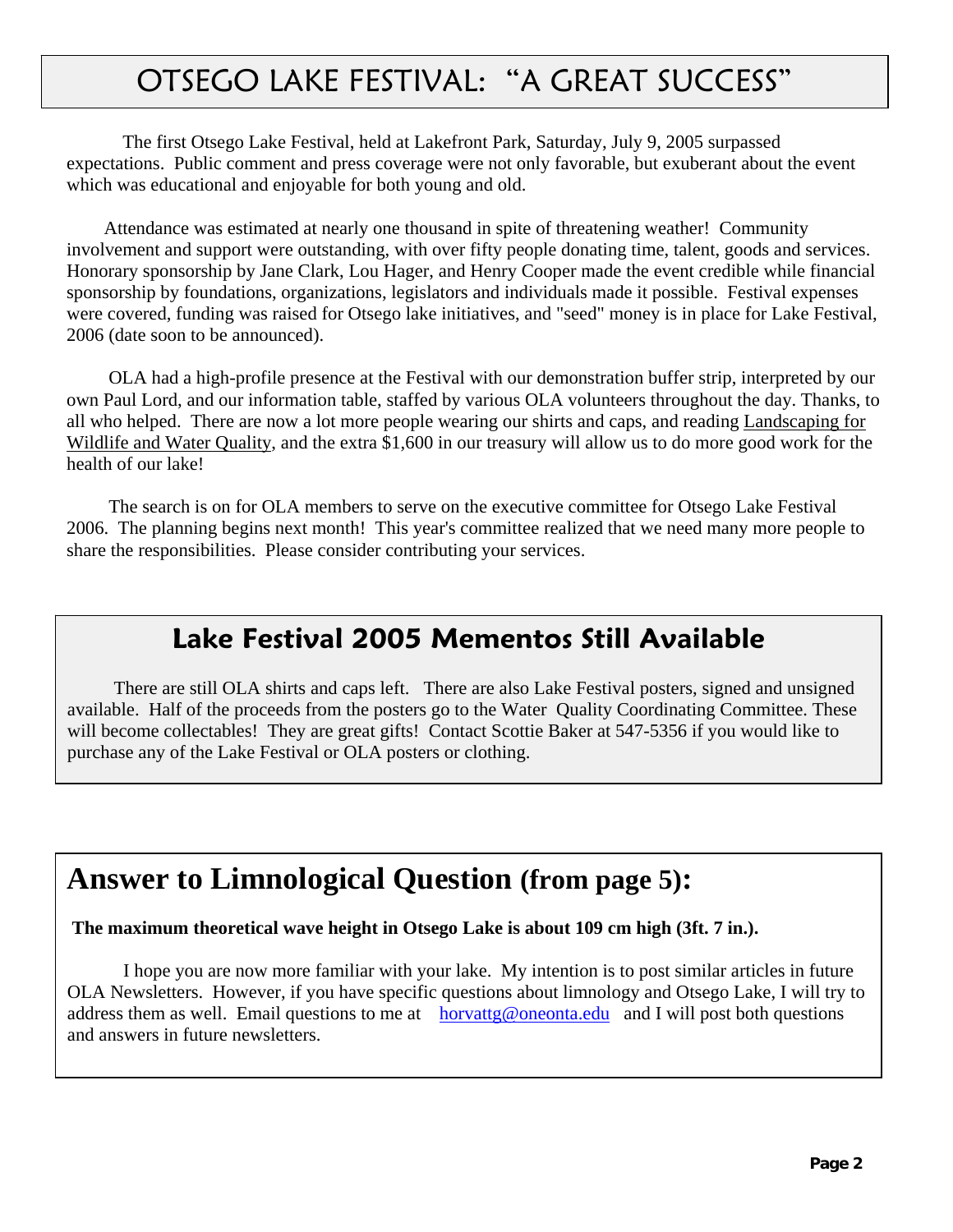# OTSEGO LAKE FESTIVAL: "A GREAT SUCCESS"

The first Otsego Lake Festival, held at Lakefront Park, Saturday, July 9, 2005 surpassed expectations. Public comment and press coverage were not only favorable, but exuberant about the event which was educational and enjoyable for both young and old.

 Attendance was estimated at nearly one thousand in spite of threatening weather! Community involvement and support were outstanding, with over fifty people donating time, talent, goods and services. Honorary sponsorship by Jane Clark, Lou Hager, and Henry Cooper made the event credible while financial sponsorship by foundations, organizations, legislators and individuals made it possible. Festival expenses were covered, funding was raised for Otsego lake initiatives, and "seed" money is in place for Lake Festival, 2006 (date soon to be announced).

 OLA had a high-profile presence at the Festival with our demonstration buffer strip, interpreted by our own Paul Lord, and our information table, staffed by various OLA volunteers throughout the day. Thanks, to all who helped. There are now a lot more people wearing our shirts and caps, and reading Landscaping for Wildlife and Water Quality, and the extra \$1,600 in our treasury will allow us to do more good work for the health of our lake!

 The search is on for OLA members to serve on the executive committee for Otsego Lake Festival 2006. The planning begins next month! This year's committee realized that we need many more people to share the responsibilities. Please consider contributing your services.

## **Lake Festival 2005 Mementos Still Available**

 There are still OLA shirts and caps left. There are also Lake Festival posters, signed and unsigned available. Half of the proceeds from the posters go to the Water Quality Coordinating Committee. These will become collectables! They are great gifts! Contact Scottie Baker at 547-5356 if you would like to purchase any of the Lake Festival or OLA posters or clothing.

## **Answer to Limnological Question (from page 5):**

#### **The maximum theoretical wave height in Otsego Lake is about 109 cm high (3ft. 7 in.).**

I hope you are now more familiar with your lake. My intention is to post similar articles in future OLA Newsletters. However, if you have specific questions about limnology and Otsego Lake, I will try to address them as well. Email questions to me at horvattg@oneonta.edu and I will post both questions and answers in future newsletters.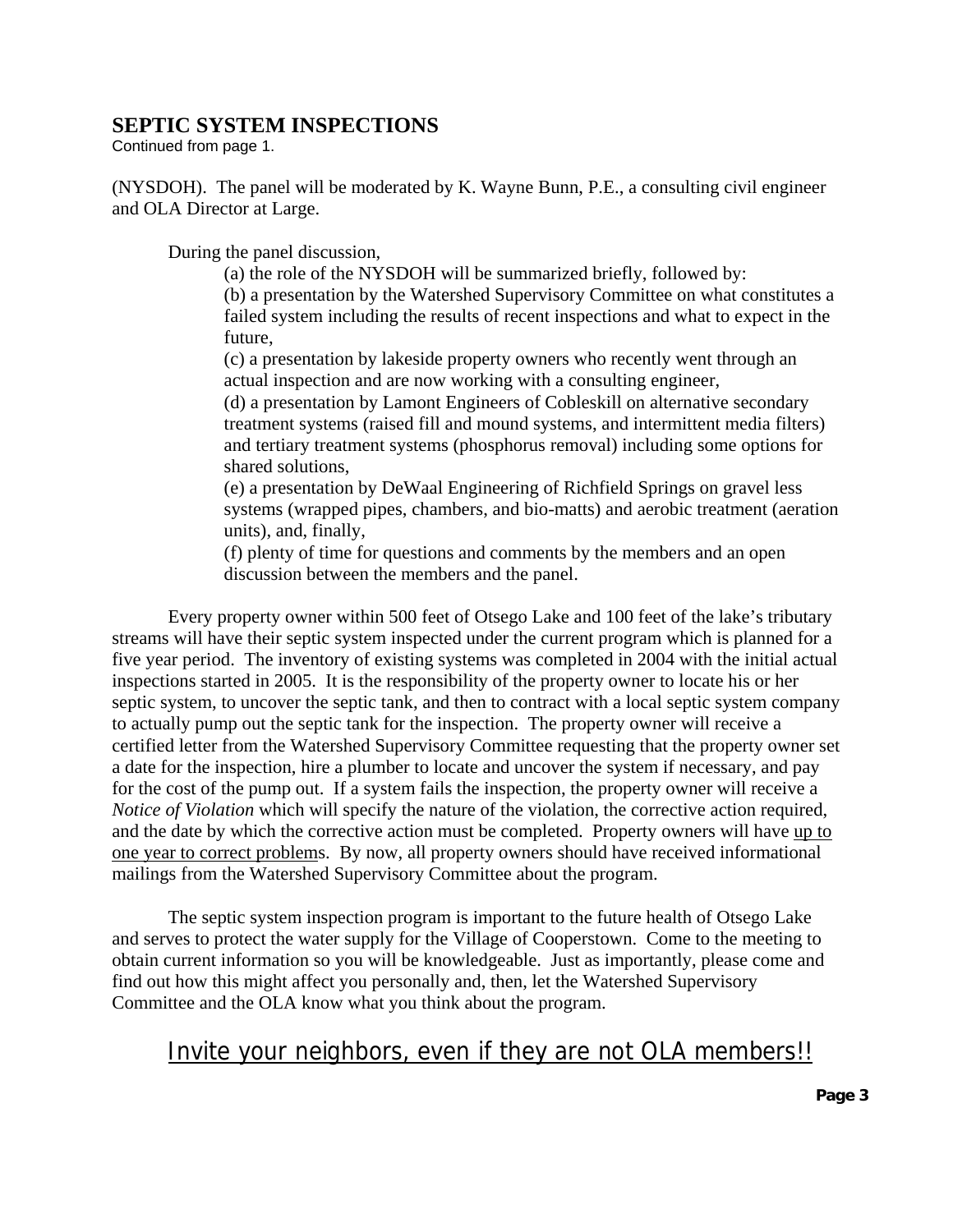### **SEPTIC SYSTEM INSPECTIONS**

Continued from page 1.

(NYSDOH). The panel will be moderated by K. Wayne Bunn, P.E., a consulting civil engineer and OLA Director at Large.

During the panel discussion,

(a) the role of the NYSDOH will be summarized briefly, followed by:

(b) a presentation by the Watershed Supervisory Committee on what constitutes a failed system including the results of recent inspections and what to expect in the future,

(c) a presentation by lakeside property owners who recently went through an actual inspection and are now working with a consulting engineer,

(d) a presentation by Lamont Engineers of Cobleskill on alternative secondary treatment systems (raised fill and mound systems, and intermittent media filters) and tertiary treatment systems (phosphorus removal) including some options for shared solutions,

(e) a presentation by DeWaal Engineering of Richfield Springs on gravel less systems (wrapped pipes, chambers, and bio-matts) and aerobic treatment (aeration units), and, finally,

(f) plenty of time for questions and comments by the members and an open discussion between the members and the panel.

Every property owner within 500 feet of Otsego Lake and 100 feet of the lake's tributary streams will have their septic system inspected under the current program which is planned for a five year period. The inventory of existing systems was completed in 2004 with the initial actual inspections started in 2005. It is the responsibility of the property owner to locate his or her septic system, to uncover the septic tank, and then to contract with a local septic system company to actually pump out the septic tank for the inspection. The property owner will receive a certified letter from the Watershed Supervisory Committee requesting that the property owner set a date for the inspection, hire a plumber to locate and uncover the system if necessary, and pay for the cost of the pump out. If a system fails the inspection, the property owner will receive a *Notice of Violation* which will specify the nature of the violation, the corrective action required, and the date by which the corrective action must be completed. Property owners will have up to one year to correct problems. By now, all property owners should have received informational mailings from the Watershed Supervisory Committee about the program.

The septic system inspection program is important to the future health of Otsego Lake and serves to protect the water supply for the Village of Cooperstown. Come to the meeting to obtain current information so you will be knowledgeable. Just as importantly, please come and find out how this might affect you personally and, then, let the Watershed Supervisory Committee and the OLA know what you think about the program.

## Invite your neighbors, even if they are not OLA members!!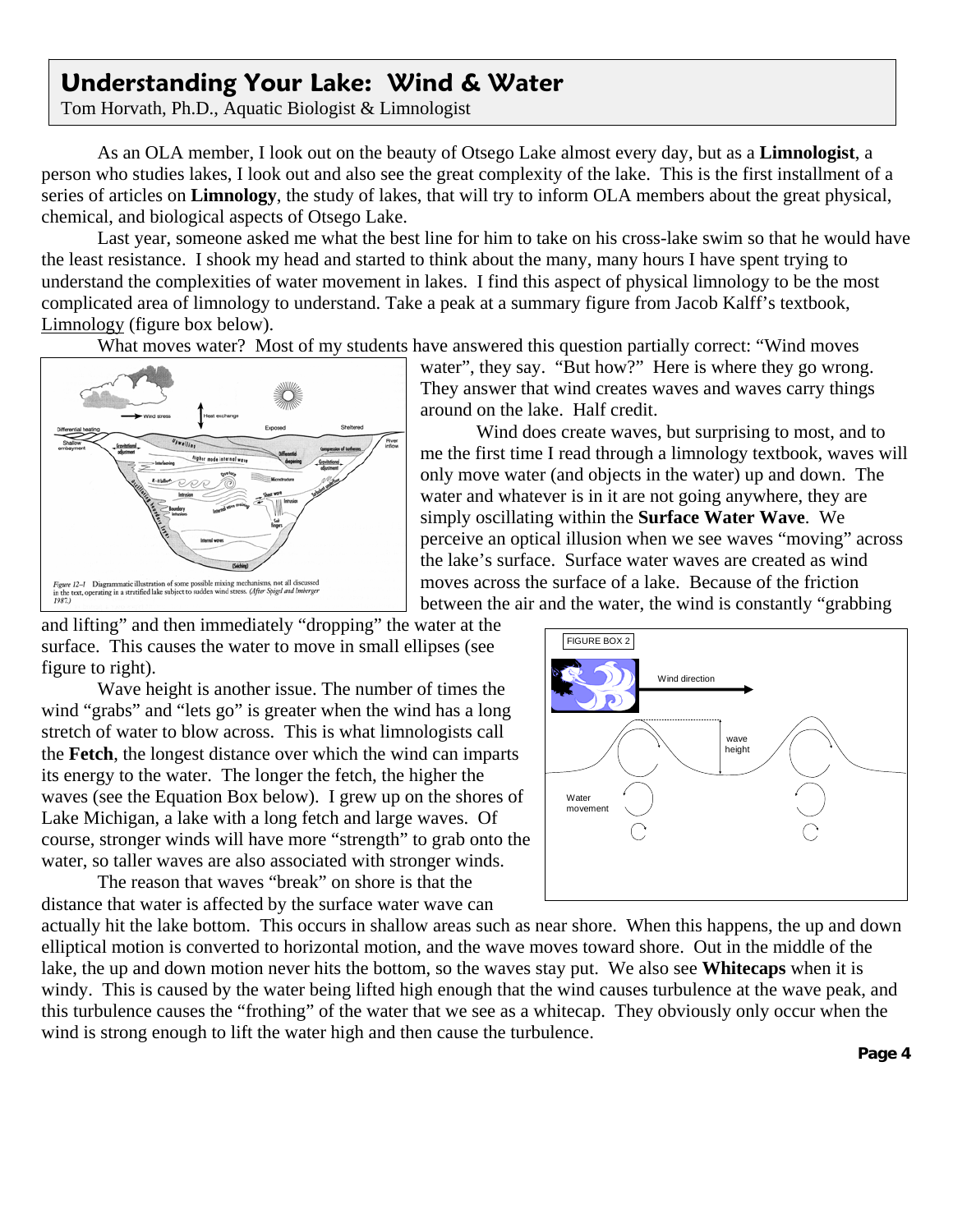# - **Understanding Your Lake: Wind & Water**

Tom Horvath, Ph.D., Aquatic Biologist & Limnologist

As an OLA member, I look out on the beauty of Otsego Lake almost every day, but as a **Limnologist**, a person who studies lakes, I look out and also see the great complexity of the lake. This is the first installment of a series of articles on **Limnology**, the study of lakes, that will try to inform OLA members about the great physical, chemical, and biological aspects of Otsego Lake.

Last year, someone asked me what the best line for him to take on his cross-lake swim so that he would have the least resistance. I shook my head and started to think about the many, many hours I have spent trying to understand the complexities of water movement in lakes. I find this aspect of physical limnology to be the most complicated area of limnology to understand. Take a peak at a summary figure from Jacob Kalff's textbook, Limnology (figure box below).

What moves water? Most of my students have answered this question partially correct: "Wind moves



water", they say. "But how?" Here is where they go wrong. They answer that wind creates waves and waves carry things around on the lake. Half credit.

Wind does create waves, but surprising to most, and to me the first time I read through a limnology textbook, waves will only move water (and objects in the water) up and down. The water and whatever is in it are not going anywhere, they are simply oscillating within the **Surface Water Wave**. We perceive an optical illusion when we see waves "moving" across the lake's surface. Surface water waves are created as wind moves across the surface of a lake. Because of the friction between the air and the water, the wind is constantly "grabbing

and lifting" and then immediately "dropping" the water at the surface. This causes the water to move in small ellipses (see figure to right).

Wave height is another issue. The number of times the wind "grabs" and "lets go" is greater when the wind has a long stretch of water to blow across. This is what limnologists call the **Fetch**, the longest distance over which the wind can imparts its energy to the water. The longer the fetch, the higher the waves (see the Equation Box below). I grew up on the shores of Lake Michigan, a lake with a long fetch and large waves. Of course, stronger winds will have more "strength" to grab onto the water, so taller waves are also associated with stronger winds.

The reason that waves "break" on shore is that the distance that water is affected by the surface water wave can



actually hit the lake bottom. This occurs in shallow areas such as near shore. When this happens, the up and down elliptical motion is converted to horizontal motion, and the wave moves toward shore. Out in the middle of the lake, the up and down motion never hits the bottom, so the waves stay put. We also see **Whitecaps** when it is windy. This is caused by the water being lifted high enough that the wind causes turbulence at the wave peak, and this turbulence causes the "frothing" of the water that we see as a whitecap. They obviously only occur when the wind is strong enough to lift the water high and then cause the turbulence.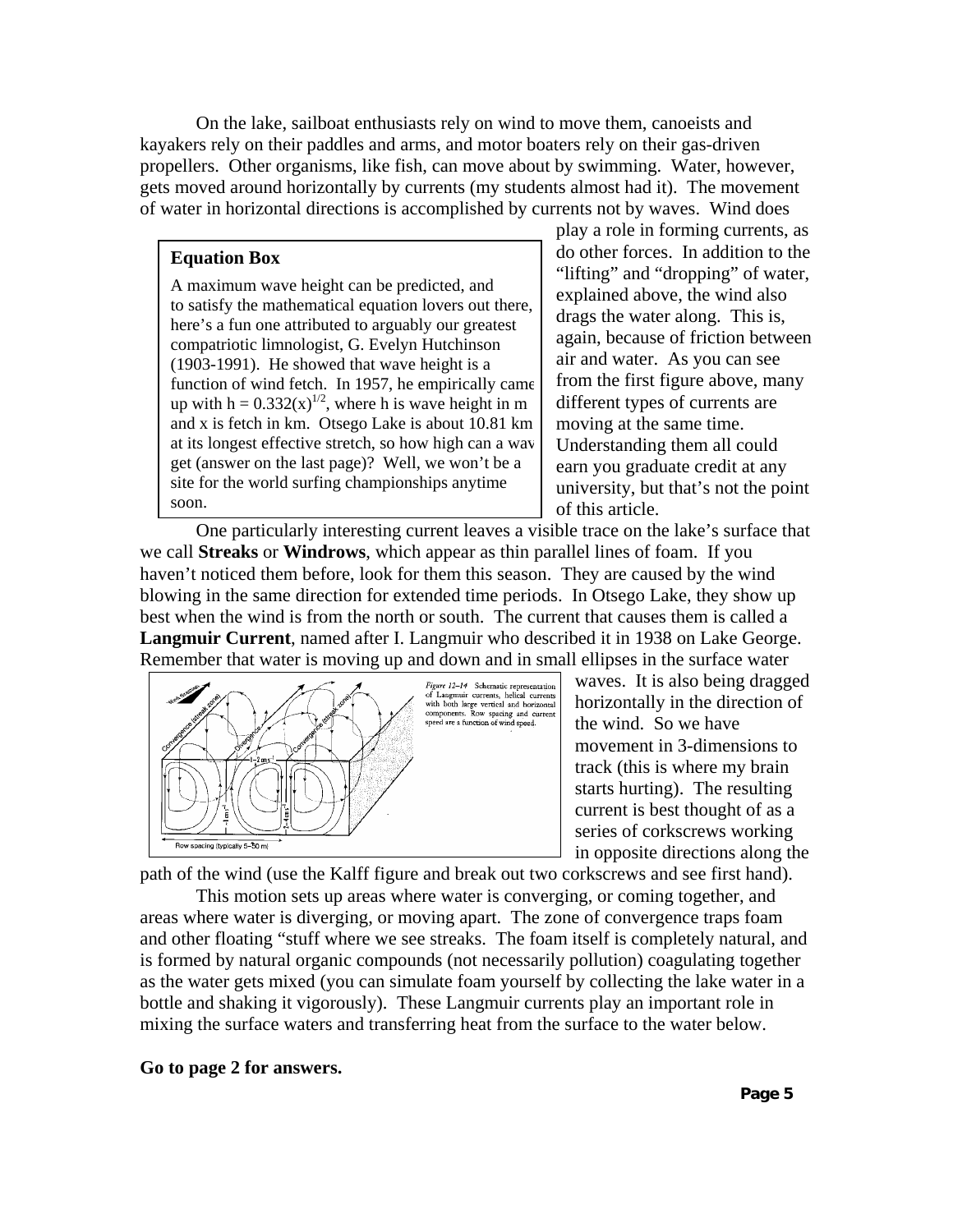On the lake, sailboat enthusiasts rely on wind to move them, canoeists and kayakers rely on their paddles and arms, and motor boaters rely on their gas-driven propellers. Other organisms, like fish, can move about by swimming. Water, however, gets moved around horizontally by currents (my students almost had it). The movement of water in horizontal directions is accomplished by currents not by waves. Wind does

#### **Equation Box**

A maximum wave height can be predicted, and to satisfy the mathematical equation lovers out there, here's a fun one attributed to arguably our greatest compatriotic limnologist, G. Evelyn Hutchinson (1903-1991). He showed that wave height is a function of wind fetch. In 1957, he empirically came up with  $h = 0.332(x)^{1/2}$ , where h is wave height in m and x is fetch in km. Otsego Lake is about 10.81 km at its longest effective stretch, so how high can a wav get (answer on the last page)? Well, we won't be a site for the world surfing championships anytime soon.

play a role in forming currents, as do other forces. In addition to the "lifting" and "dropping" of water, explained above, the wind also drags the water along. This is, again, because of friction between air and water. As you can see from the first figure above, many different types of currents are moving at the same time. Understanding them all could earn you graduate credit at any university, but that's not the point of this article.

One particularly interesting current leaves a visible trace on the lake's surface that we call **Streaks** or **Windrows**, which appear as thin parallel lines of foam. If you haven't noticed them before, look for them this season. They are caused by the wind blowing in the same direction for extended time periods. In Otsego Lake, they show up best when the wind is from the north or south. The current that causes them is called a **Langmuir Current**, named after I. Langmuir who described it in 1938 on Lake George. Remember that water is moving up and down and in small ellipses in the surface water



waves. It is also being dragged horizontally in the direction of the wind. So we have movement in 3-dimensions to track (this is where my brain starts hurting). The resulting current is best thought of as a series of corkscrews working in opposite directions along the

path of the wind (use the Kalff figure and break out two corkscrews and see first hand).

This motion sets up areas where water is converging, or coming together, and areas where water is diverging, or moving apart. The zone of convergence traps foam and other floating "stuff where we see streaks. The foam itself is completely natural, and is formed by natural organic compounds (not necessarily pollution) coagulating together as the water gets mixed (you can simulate foam yourself by collecting the lake water in a bottle and shaking it vigorously). These Langmuir currents play an important role in mixing the surface waters and transferring heat from the surface to the water below.

#### **Go to page 2 for answers.**